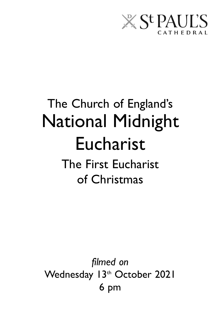

# The Church of England's National Midnight Eucharist The First Eucharist of Christmas

*filmed on*  Wednesday 13th October 2021 6 pm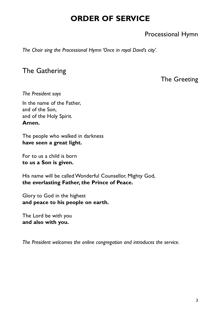# **ORDER OF SERVICE**

## Processional Hymn

*The Choir sing the Processional Hymn 'Once in royal Davd's city'.*

## The Gathering

## The Greeting

*The President says* 

In the name of the Father, and of the Son, and of the Holy Spirit. **Amen.** 

The people who walked in darkness **have seen a great light.** 

For to us a child is born **to us a Son is given.** 

His name will be called Wonderful Counsellor, Mighty God, **the everlasting Father, the Prince of Peace.** 

Glory to God in the highest **and peace to his people on earth.**

The Lord be with you **and also with you.** 

*The President welcomes the online congregation and introduces the service.*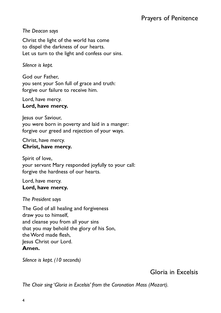## Prayers of Penitence

#### *The Deacon says*

Christ the light of the world has come to dispel the darkness of our hearts. Let us turn to the light and confess our sins.

*Silence is kept.* 

God our Father, you sent your Son full of grace and truth: forgive our failure to receive him.

#### Lord, have mercy. **Lord, have mercy.**

Jesus our Saviour, you were born in poverty and laid in a manger: forgive our greed and rejection of your ways.

Christ, have mercy. **Christ, have mercy.** 

Spirit of love, your servant Mary responded joyfully to your call: forgive the hardness of our hearts.

Lord, have mercy. **Lord, have mercy.** 

*The President says* 

The God of all healing and forgiveness draw you to himself, and cleanse you from all your sins that you may behold the glory of his Son, the Word made flesh, Jesus Christ our Lord. **Amen.** 

*Silence is kept. (10 seconds)* 

Gloria in Excelsis

*The Choir sing* '*Gloria in Excelsis' from the Coronation Mass (Mozart).*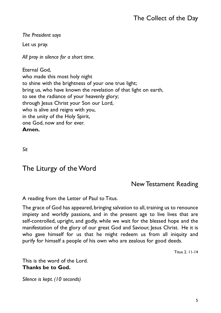# The Collect of the Day

*The President says* 

Let us pray.

*All pray in silence for a short time.* 

Eternal God, who made this most holy night to shine with the brightness of your one true light; bring us, who have known the revelation of that light on earth, to see the radiance of your heavenly glory; through Jesus Christ your Son our Lord, who is alive and reigns with you, in the unity of the Holy Spirit, one God, now and for ever. **Amen.**

*Sit* 

## The Liturgy of the Word

## New Testament Reading

A reading from the Letter of Paul to Titus.

The grace of God has appeared, bringing salvation to all, training us to renounce impiety and worldly passions, and in the present age to live lives that are self-controlled, upright, and godly, while we wait for the blessed hope and the manifestation of the glory of our great God and Saviour, Jesus Christ. He it is who gave himself for us that he might redeem us from all iniquity and purify for himself a people of his own who are zealous for good deeds.

Titus 2. 11-14

This is the word of the Lord. **Thanks be to God.** 

*Silence is kept. (10 seconds)*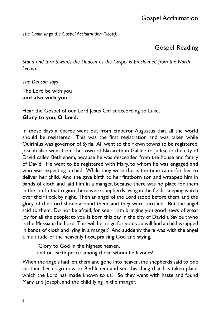*The Choir sings the Gospel Acclaimation (Scott).* 

## Gospel Reading

*Stand and turn towards the Deacon as the Gospel is proclaimed from the North Lectern.* 

*The Deacon says*

The Lord be with you **and also with you.** 

Hear the Gospel of our Lord Jesus Christ according to Luke. **Glory to you, O Lord.**

In those days a decree went out from Emperor Augustus that all the world should be registered. This was the first registration and was taken while Quirinius was governor of Syria. All went to their own towns to be registered. Joseph also went from the town of Nazareth in Galilee to Judea, to the city of David called Bethlehem, because he was descended from the house and family of David. He went to be registered with Mary, to whom he was engaged and who was expecting a child. While they were there, the time came for her to deliver her child. And she gave birth to her firstborn son and wrapped him in bands of cloth, and laid him in a manger, because there was no place for them in the inn. In that region there were shepherds living in the fields, keeping watch over their flock by night. Then an angel of the Lord stood before them, and the glory of the Lord shone around them, and they were terrified. But the angel said to them, 'Do not be afraid; for see - I am bringing you good news of great joy for all the people: to you is born this day in the city of David a Saviour, who is the Messiah, the Lord. This will be a sign for you: you will find a child wrapped in bands of cloth and lying in a manger.' And suddenly there was with the angel a multitude of the heavenly host, praising God and saying,

'Glory to God in the highest heaven, and on earth peace among those whom he favours!'

When the angels had left them and gone into heaven, the shepherds said to one another, 'Let us go now to Bethlehem and see this thing that has taken place, which the Lord has made known to us.' So they went with haste and found Mary and Joseph, and the child lying in the manger.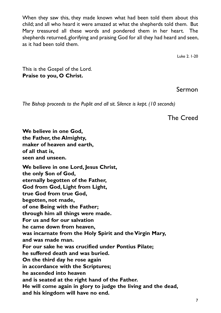When they saw this, they made known what had been told them about this child; and all who heard it were amazed at what the shepherds told them. But Mary treasured all these words and pondered them in her heart. The shepherds returned, glorifying and praising God for all they had heard and seen, as it had been told them.

Luke 2. 1-20

This is the Gospel of the Lord. **Praise to you, O Christ.** 

Sermon

*The Bishop proceeds to the Puplit and all sit. Silence is kept. (10 seconds)* 

The Creed

**We believe in one God, the Father, the Almighty, maker of heaven and earth, of all that is, seen and unseen. We believe in one Lord, Jesus Christ, the only Son of God, eternally begotten of the Father, God from God, Light from Light, true God from true God, begotten, not made, of one Being with the Father; through him all things were made. For us and for our salvation he came down from heaven, was incarnate from the Holy Spirit and the Virgin Mary, and was made man. For our sake he was crucified under Pontius Pilate; he suffered death and was buried. On the third day he rose again in accordance with the Scriptures; he ascended into heaven and is seated at the right hand of the Father. He will come again in glory to judge the living and the dead, and his kingdom will have no end.**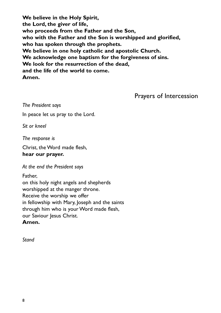**We believe in the Holy Spirit, the Lord, the giver of life, who proceeds from the Father and the Son, who with the Father and the Son is worshipped and glorified, who has spoken through the prophets. We believe in one holy catholic and apostolic Church. We acknowledge one baptism for the forgiveness of sins. We look for the resurrection of the dead, and the life of the world to come. Amen.** 

Prayers of Intercession

*The President says* 

In peace let us pray to the Lord.

*Sit or kneel* 

*The response is* 

Christ, the Word made flesh,

#### **hear our prayer.**

*At the end the President says* 

Father, on this holy night angels and shepherds worshipped at the manger throne. Receive the worship we offer in fellowship with Mary, Joseph and the saints through him who is your Word made flesh, our Saviour Jesus Christ. **Amen.** 

*Stand*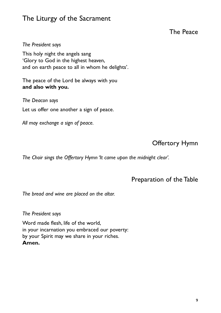# The Liturgy of the Sacrament

## The Peace

*The President says*

This holy night the angels sang 'Glory to God in the highest heaven, and on earth peace to all in whom he delights'.

The peace of the Lord be always with you **and also with you.** 

*The Deacon says* 

Let us offer one another a sign of peace.

*All may exchange a sign of peace.* 

## Offertory Hymn

*The Choir sings the Offertory Hymn 'It came upon the midnight clear'.* 

## Preparation of the Table

*The bread and wine are placed on the altar.*

*The President says*

Word made flesh, life of the world, in your incarnation you embraced our poverty: by your Spirit may we share in your riches. **Amen.**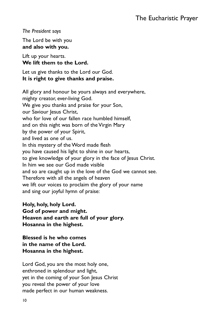## The Eucharistic Prayer

*The President says*

The Lord be with you **and also with you.** 

Lift up your hearts. **We lift them to the Lord.** 

Let us give thanks to the Lord our God. **It is right to give thanks and praise.** 

All glory and honour be yours always and everywhere, mighty creator, ever-living God. We give you thanks and praise for your Son, our Saviour Jesus Christ, who for love of our fallen race humbled himself, and on this night was born of the Virgin Mary by the power of your Spirit, and lived as one of us. In this mystery of the Word made flesh you have caused his light to shine in our hearts, to give knowledge of your glory in the face of Jesus Christ. In him we see our God made visible and so are caught up in the love of the God we cannot see. Therefore with all the angels of heaven we lift our voices to proclaim the glory of your name and sing our joyful hymn of praise:

**Holy, holy, holy Lord. God of power and might. Heaven and earth are full of your glory. Hosanna in the highest.** 

**Blessed is he who comes in the name of the Lord. Hosanna in the highest.**

Lord God, you are the most holy one, enthroned in splendour and light, yet in the coming of your Son Jesus Christ you reveal the power of your love made perfect in our human weakness.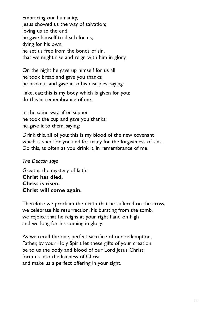Embracing our humanity, Jesus showed us the way of salvation; loving us to the end, he gave himself to death for us; dying for his own, he set us free from the bonds of sin, that we might rise and reign with him in glory.

On the night he gave up himself for us all he took bread and gave you thanks; he broke it and gave it to his disciples, saying:

Take, eat; this is my body which is given for you; do this in remembrance of me.

In the same way, after supper he took the cup and gave you thanks; he gave it to them, saying:

Drink this, all of you; this is my blood of the new covenant which is shed for you and for many for the forgiveness of sins. Do this, as often as you drink it, in remembrance of me.

#### *The Deacon says*

Great is the mystery of faith: **Christ has died. Christ is risen. Christ will come again.** 

Therefore we proclaim the death that he suffered on the cross, we celebrate his resurrection, his bursting from the tomb, we rejoice that he reigns at your right hand on high and we long for his coming in glory.

As we recall the one, perfect sacrifice of our redemption, Father, by your Holy Spirit let these gifts of your creation be to us the body and blood of our Lord Jesus Christ; form us into the likeness of Christ and make us a perfect offering in your sight.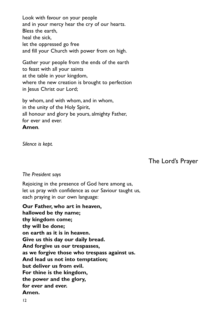Look with favour on your people and in your mercy hear the cry of our hearts. Bless the earth, heal the sick, let the oppressed go free and fill your Church with power from on high.

Gather your people from the ends of the earth to feast with all your saints at the table in your kingdom, where the new creation is brought to perfection in Jesus Christ our Lord;

by whom, and with whom, and in whom, in the unity of the Holy Spirit, all honour and glory be yours, almighty Father, for ever and ever.

### **Amen***.*

*Silence is kept.* 

## The Lord's Prayer

#### *The President says*

Rejoicing in the presence of God here among us, let us pray with confidence as our Saviour taught us, each praying in our own language:

**Our Father, who art in heaven, hallowed be thy name; thy kingdom come; thy will be done; on earth as it is in heaven. Give us this day our daily bread. And forgive us our trespasses, as we forgive those who trespass against us. And lead us not into temptation; but deliver us from evil. For thine is the kingdom, the power and the glory, for ever and ever. Amen.**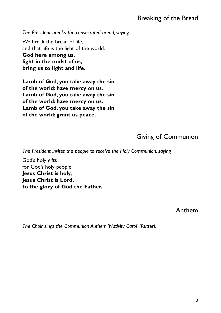## Breaking of the Bread

*The President breaks the consecrated bread, saying* 

We break the bread of life. and that life is the light of the world. **God here among us, light in the midst of us, bring us to light and life.** 

**Lamb of God, you take away the sin of the world: have mercy on us. Lamb of God, you take away the sin of the world: have mercy on us. Lamb of God, you take away the sin of the world: grant us peace.** 

## Giving of Communion

*The President invites the people to receive the Holy Communion, saying* 

God's holy gifts for God's holy people. **Jesus Christ is holy, Jesus Christ is Lord, to the glory of God the Father.** 

Anthem

*The Choir sings the Communion Anthem 'Nativity Carol' (Rutter).*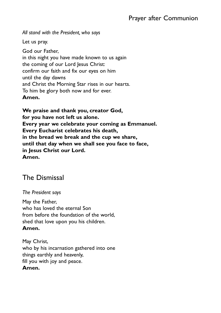*All stand with the President, who says* 

Let us pray.

God our Father, in this night you have made known to us again the coming of our Lord Jesus Christ: confirm our faith and fix our eyes on him until the day dawns and Christ the Morning Star rises in our hearts. To him be glory both now and for ever. **Amen.** 

**We praise and thank you, creator God, for you have not left us alone. Every year we celebrate your coming as Emmanuel. Every Eucharist celebrates his death, in the bread we break and the cup we share, until that day when we shall see you face to face, in Jesus Christ our Lord. Amen.** 

# The Dismissal

*The President says*

May the Father, who has loved the eternal Son from before the foundation of the world, shed that love upon you his children. **Amen.** 

May Christ, who by his incarnation gathered into one things earthly and heavenly, fill you with joy and peace. **Amen.**